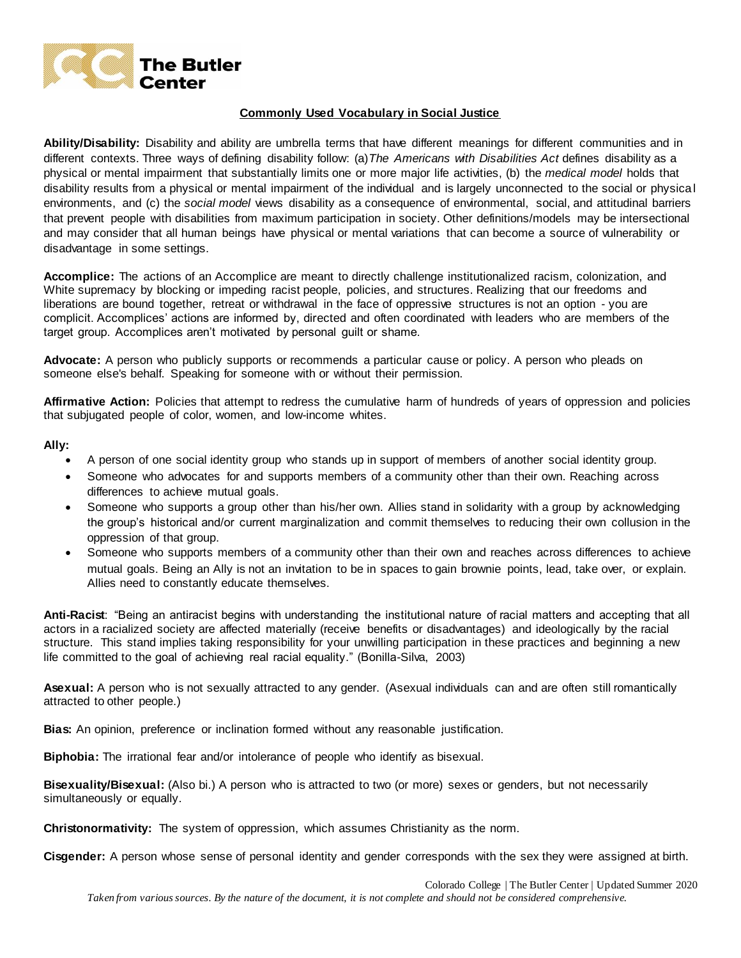

# **Commonly Used Vocabulary in Social Justice**

**Ability/Disability:** Disability and ability are umbrella terms that have different meanings for different communities and in different contexts. Three ways of defining disability follow: (a)*The Americans with Disabilities Act* defines disability as a physical or mental impairment that substantially limits one or more major life activities, (b) the *medical model* holds that disability results from a physical or mental impairment of the individual and is largely unconnected to the social or physical environments, and (c) the *social model* views disability as a consequence of environmental, social, and attitudinal barriers that prevent people with disabilities from maximum participation in society. Other definitions/models may be intersectional and may consider that all human beings have physical or mental variations that can become a source of vulnerability or disadvantage in some settings.

**Accomplice:** The actions of an Accomplice are meant to directly challenge institutionalized racism, colonization, and White supremacy by blocking or impeding racist people, policies, and structures. Realizing that our freedoms and liberations are bound together, retreat or withdrawal in the face of oppressive structures is not an option - you are complicit. Accomplices' actions are informed by, directed and often coordinated with leaders who are members of the target group. Accomplices aren't motivated by personal guilt or shame.

**Advocate:** A person who publicly supports or recommends a particular cause or policy. A person who pleads on someone else's behalf. Speaking for someone with or without their permission.

**Affirmative Action:** Policies that attempt to redress the cumulative harm of hundreds of years of oppression and policies that subjugated people of color, women, and low-income whites.

#### **Ally:**

- A person of one social identity group who stands up in support of members of another social identity group.
- Someone who advocates for and supports members of a community other than their own. Reaching across differences to achieve mutual goals.
- Someone who supports a group other than his/her own. Allies stand in solidarity with a group by acknowledging the group's historical and/or current marginalization and commit themselves to reducing their own collusion in the oppression of that group.
- Someone who supports members of a community other than their own and reaches across differences to achieve mutual goals. Being an Ally is not an invitation to be in spaces to gain brownie points, lead, take over, or explain. Allies need to constantly educate themselves.

**Anti-Racist**: "Being an antiracist begins with understanding the institutional nature of racial matters and accepting that all actors in a racialized society are affected materially (receive benefits or disadvantages) and ideologically by the racial structure. This stand implies taking responsibility for your unwilling participation in these practices and beginning a new life committed to the goal of achieving real racial equality." (Bonilla-Silva, 2003)

**Asexual:** A person who is not sexually attracted to any gender. (Asexual individuals can and are often still romantically attracted to other people.)

**Bias:** An opinion, preference or inclination formed without any reasonable justification.

**Biphobia:** The irrational fear and/or intolerance of people who identify as bisexual.

**Bisexuality/Bisexual:** (Also bi.) A person who is attracted to two (or more) sexes or genders, but not necessarily simultaneously or equally.

**Christonormativity:** The system of oppression, which assumes Christianity as the norm.

**Cisgender:** A person whose sense of personal identity and gender corresponds with the sex they were assigned at birth.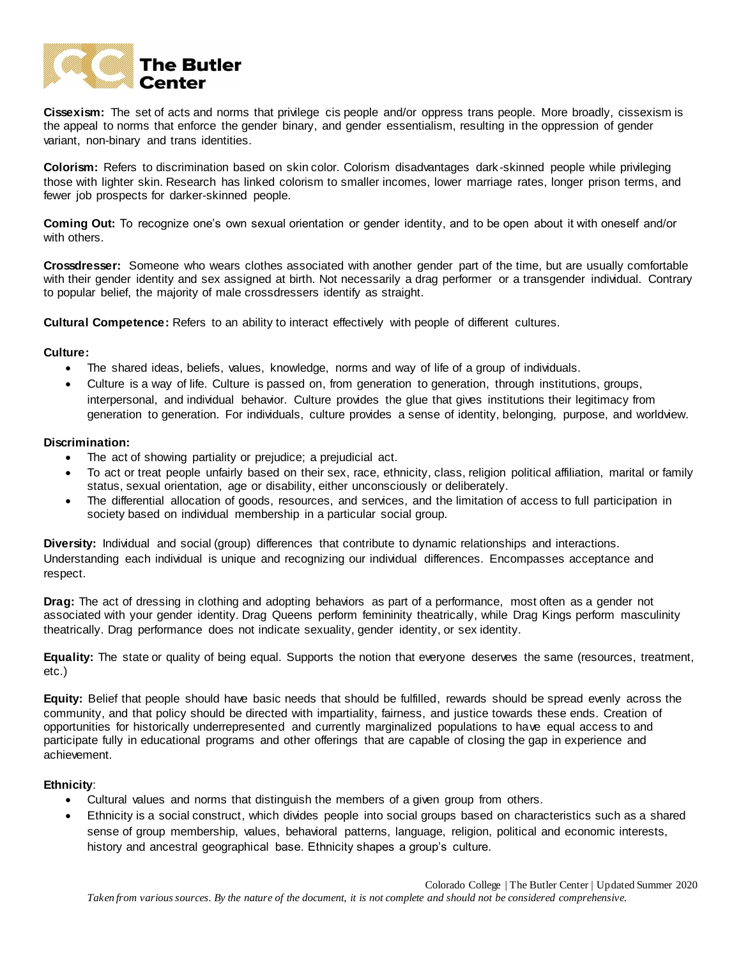

**Cissexism:** The set of acts and norms that privilege cis people and/or oppress trans people. More broadly, cissexism is the appeal to norms that enforce the gender binary, and gender essentialism, resulting in the oppression of gender variant, non-binary and trans identities.

**Colorism:** Refers to discrimination based on skin color. Colorism disadvantages dark-skinned people while privileging those with lighter skin. Research has linked colorism to smaller incomes, lower marriage rates, longer prison terms, and fewer job prospects for darker-skinned people.

**Coming Out:** To recognize one's own sexual orientation or gender identity, and to be open about it with oneself and/or with others.

**Crossdresser:** Someone who wears clothes associated with another gender part of the time, but are usually comfortable with their gender identity and sex assigned at birth. Not necessarily a drag performer or a transgender individual. Contrary to popular belief, the majority of male crossdressers identify as straight.

**Cultural Competence:** Refers to an ability to interact effectively with people of different cultures.

## **Culture:**

- The shared ideas, beliefs, values, knowledge, norms and way of life of a group of individuals.
- Culture is a way of life. Culture is passed on, from generation to generation, through institutions, groups, interpersonal, and individual behavior. Culture provides the glue that gives institutions their legitimacy from generation to generation. For individuals, culture provides a sense of identity, belonging, purpose, and worldview.

#### **Discrimination:**

- The act of showing partiality or prejudice; a prejudicial act.
- To act or treat people unfairly based on their sex, race, ethnicity, class, religion political affiliation, marital or family status, sexual orientation, age or disability, either unconsciously or deliberately.
- The differential allocation of goods, resources, and services, and the limitation of access to full participation in society based on individual membership in a particular social group.

**Diversity:** Individual and social (group) differences that contribute to dynamic relationships and interactions. Understanding each individual is unique and recognizing our individual differences. Encompasses acceptance and respect.

**Drag:** The act of dressing in clothing and adopting behaviors as part of a performance, most often as a gender not associated with your gender identity. Drag Queens perform femininity theatrically, while Drag Kings perform masculinity theatrically. Drag performance does not indicate sexuality, gender identity, or sex identity.

**Equality:** The state or quality of being equal. Supports the notion that everyone deserves the same (resources, treatment, etc.)

**Equity:** Belief that people should have basic needs that should be fulfilled, rewards should be spread evenly across the community, and that policy should be directed with impartiality, fairness, and justice towards these ends. Creation of opportunities for historically underrepresented and currently marginalized populations to have equal access to and participate fully in educational programs and other offerings that are capable of closing the gap in experience and achievement.

## **Ethnicity**:

- Cultural values and norms that distinguish the members of a given group from others.
- Ethnicity is a social construct, which divides people into social groups based on characteristics such as a shared sense of group membership, values, behavioral patterns, language, religion, political and economic interests, history and ancestral geographical base. Ethnicity shapes a group's culture.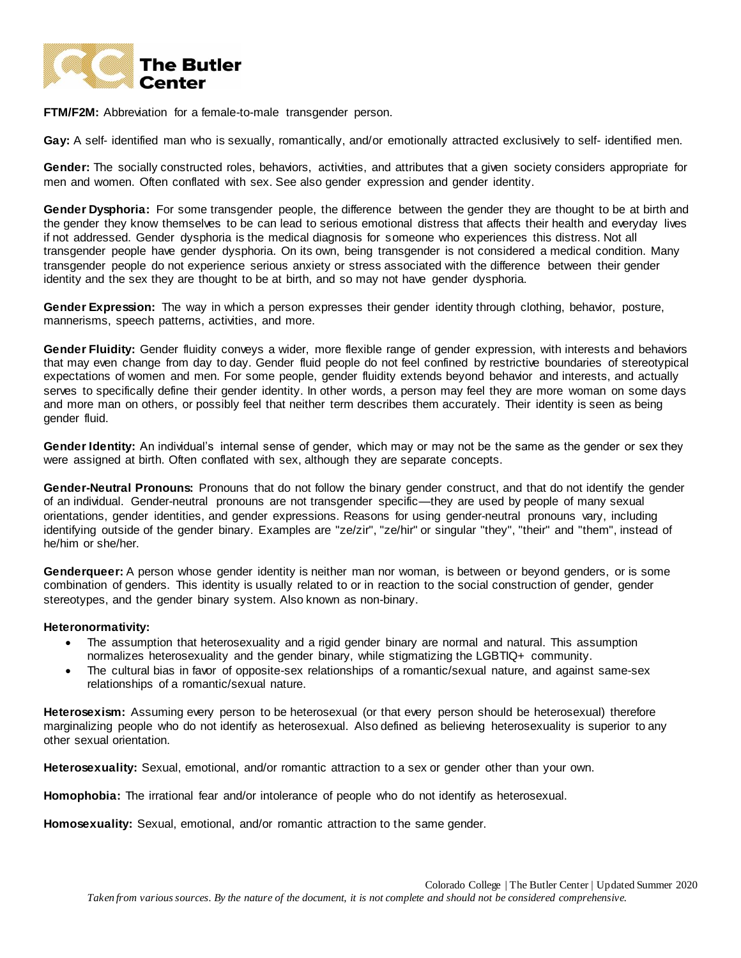

**FTM/F2M:** Abbreviation for a female-to-male transgender person.

**Gay:** A self- identified man who is sexually, romantically, and/or emotionally attracted exclusively to self- identified men.

**Gender:** The socially constructed roles, behaviors, activities, and attributes that a given society considers appropriate for men and women. Often conflated with sex. See also gender expression and gender identity.

**Gender Dysphoria:** For some transgender people, the difference between the gender they are thought to be at birth and the gender they know themselves to be can lead to serious emotional distress that affects their health and everyday lives if not addressed. Gender dysphoria is the medical diagnosis for someone who experiences this distress. Not all transgender people have gender dysphoria. On its own, being transgender is not considered a medical condition. Many transgender people do not experience serious anxiety or stress associated with the difference between their gender identity and the sex they are thought to be at birth, and so may not have gender dysphoria.

**Gender Expression:** The way in which a person expresses their gender identity through clothing, behavior, posture, mannerisms, speech patterns, activities, and more.

**Gender Fluidity:** Gender fluidity conveys a wider, more flexible range of gender expression, with interests and behaviors that may even change from day to day. Gender fluid people do not feel confined by restrictive boundaries of stereotypical expectations of women and men. For some people, gender fluidity extends beyond behavior and interests, and actually serves to specifically define their gender identity. In other words, a person may feel they are more woman on some days and more man on others, or possibly feel that neither term describes them accurately. Their identity is seen as being gender fluid.

**Gender Identity:** An individual's internal sense of gender, which may or may not be the same as the gender or sex they were assigned at birth. Often conflated with sex, although they are separate concepts.

**Gender-Neutral Pronouns:** Pronouns that do not follow the binary gender construct, and that do not identify the gender of an individual. Gender-neutral pronouns are not transgender specific—they are used by people of many sexual orientations, gender identities, and gender expressions. Reasons for using gender-neutral pronouns vary, including identifying outside of the gender binary. Examples are "ze/zir", "ze/hir" or singular "they", "their" and "them", instead of he/him or she/her.

**Genderqueer:** A person whose gender identity is neither man nor woman, is between or beyond genders, or is some combination of genders. This identity is usually related to or in reaction to the social construction of gender, gender stereotypes, and the gender binary system. Also known as non-binary.

## **Heteronormativity:**

- The assumption that heterosexuality and a rigid gender binary are normal and natural. This assumption normalizes heterosexuality and the gender binary, while stigmatizing the LGBTIQ+ community.
- The cultural bias in favor of opposite-sex relationships of a romantic/sexual nature, and against same-sex relationships of a romantic/sexual nature.

**Heterosexism:** Assuming every person to be heterosexual (or that every person should be heterosexual) therefore marginalizing people who do not identify as heterosexual. Also defined as believing heterosexuality is superior to any other sexual orientation.

**Heterosexuality:** Sexual, emotional, and/or romantic attraction to a sex or gender other than your own.

**Homophobia:** The irrational fear and/or intolerance of people who do not identify as heterosexual.

**Homosexuality:** Sexual, emotional, and/or romantic attraction to the same gender.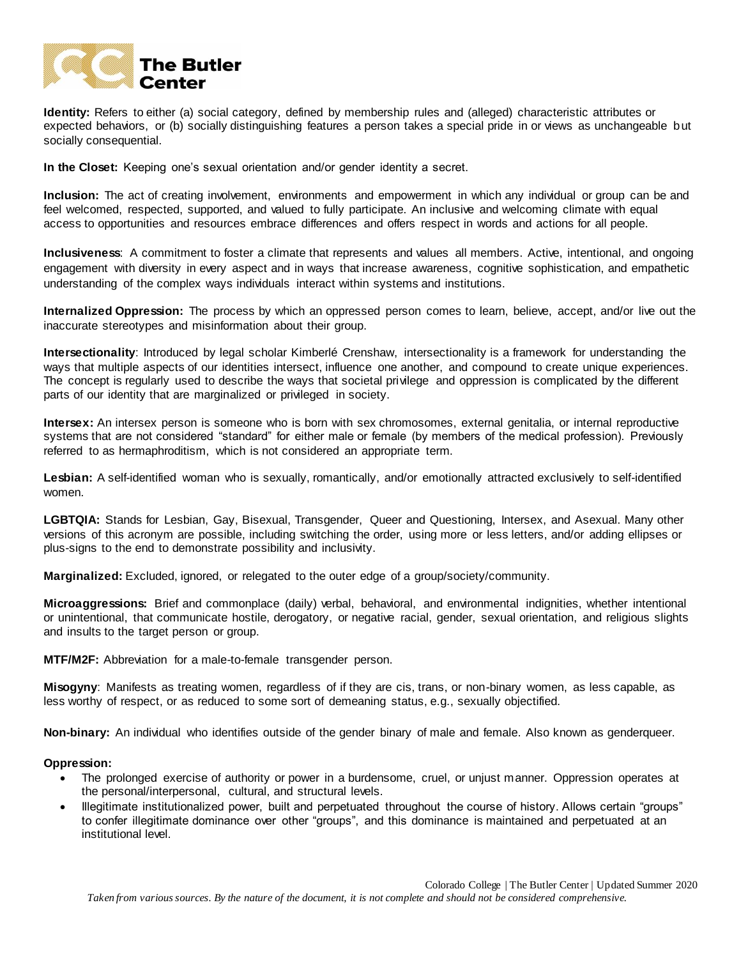

**Identity:** Refers to either (a) social category, defined by membership rules and (alleged) characteristic attributes or expected behaviors, or (b) socially distinguishing features a person takes a special pride in or views as unchangeable but socially consequential.

**In the Closet:** Keeping one's sexual orientation and/or gender identity a secret.

**Inclusion:** The act of creating involvement, environments and empowerment in which any individual or group can be and feel welcomed, respected, supported, and valued to fully participate. An inclusive and welcoming climate with equal access to opportunities and resources embrace differences and offers respect in words and actions for all people.

**Inclusiveness**: A commitment to foster a climate that represents and values all members. Active, intentional, and ongoing engagement with diversity in every aspect and in ways that increase awareness, cognitive sophistication, and empathetic understanding of the complex ways individuals interact within systems and institutions.

**Internalized Oppression:** The process by which an oppressed person comes to learn, believe, accept, and/or live out the inaccurate stereotypes and misinformation about their group.

**Intersectionality**: Introduced by legal scholar Kimberlé Crenshaw, intersectionality is a framework for understanding the ways that multiple aspects of our identities intersect, influence one another, and compound to create unique experiences. The concept is regularly used to describe the ways that societal privilege and oppression is complicated by the different parts of our identity that are marginalized or privileged in society.

**Intersex:** An intersex person is someone who is born with sex chromosomes, external genitalia, or internal reproductive systems that are not considered "standard" for either male or female (by members of the medical profession). Previously referred to as hermaphroditism, which is not considered an appropriate term.

Lesbian: A self-identified woman who is sexually, romantically, and/or emotionally attracted exclusively to self-identified women.

**LGBTQIA:** Stands for Lesbian, Gay, Bisexual, Transgender, Queer and Questioning, Intersex, and Asexual. Many other versions of this acronym are possible, including switching the order, using more or less letters, and/or adding ellipses or plus-signs to the end to demonstrate possibility and inclusivity.

**Marginalized:** Excluded, ignored, or relegated to the outer edge of a group/society/community.

**Microaggressions:** Brief and commonplace (daily) verbal, behavioral, and environmental indignities, whether intentional or unintentional, that communicate hostile, derogatory, or negative racial, gender, sexual orientation, and religious slights and insults to the target person or group.

**MTF/M2F:** Abbreviation for a male-to-female transgender person.

**Misogyny**: Manifests as treating women, regardless of if they are cis, trans, or non-binary women, as less capable, as less worthy of respect, or as reduced to some sort of demeaning status, e.g., sexually objectified.

**Non-binary:** An individual who identifies outside of the gender binary of male and female. Also known as genderqueer.

#### **Oppression:**

- The prolonged exercise of authority or power in a burdensome, cruel, or unjust manner. Oppression operates at the personal/interpersonal, cultural, and structural levels.
- Illegitimate institutionalized power, built and perpetuated throughout the course of history. Allows certain "groups" to confer illegitimate dominance over other "groups", and this dominance is maintained and perpetuated at an institutional level.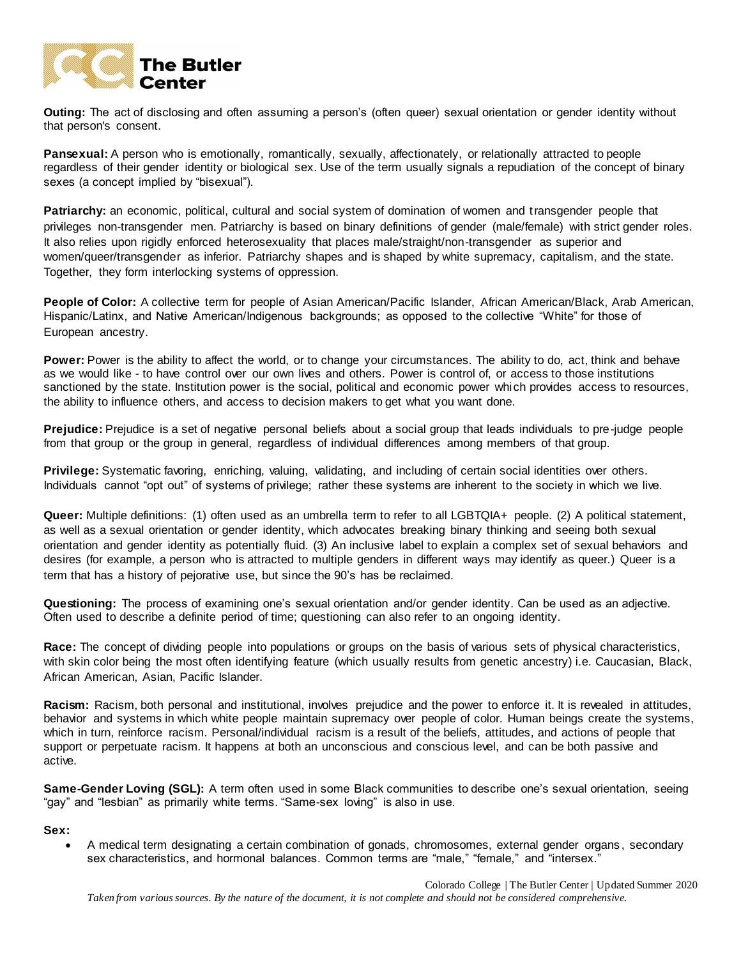

**Outing:** The act of disclosing and often assuming a person's (often queer) sexual orientation or gender identity without that person's consent.

**Pansexual:** A person who is emotionally, romantically, sexually, affectionately, or relationally attracted to people regardless of their gender identity or biological sex. Use of the term usually signals a repudiation of the concept of binary sexes (a concept implied by "bisexual").

**Patriarchy:** an economic, political, cultural and social system of domination of women and transgender people that privileges non-transgender men. Patriarchy is based on binary definitions of gender (male/female) with strict gender roles. It also relies upon rigidly enforced heterosexuality that places male/straight/non-transgender as superior and women/queer/transgender as inferior. Patriarchy shapes and is shaped by white supremacy, capitalism, and the state. Together, they form interlocking systems of oppression.

**People of Color:** A collective term for people of Asian American/Pacific Islander, African American/Black, Arab American, Hispanic/Latinx, and Native American/Indigenous backgrounds; as opposed to the collective "White" for those of European ancestry.

**Power:** Power is the ability to affect the world, or to change your circumstances. The ability to do, act, think and behave as we would like - to have control over our own lives and others. Power is control of, or access to those institutions sanctioned by the state. Institution power is the social, political and economic power which provides access to resources, the ability to influence others, and access to decision makers to get what you want done.

**Prejudice:** Prejudice is a set of negative personal beliefs about a social group that leads individuals to pre-judge people from that group or the group in general, regardless of individual differences among members of that group.

**Privilege:** Systematic favoring, enriching, valuing, validating, and including of certain social identities over others. Individuals cannot "opt out" of systems of privilege; rather these systems are inherent to the society in which we live.

**Queer:** Multiple definitions: (1) often used as an umbrella term to refer to all LGBTQIA+ people. (2) A political statement, as well as a sexual orientation or gender identity, which advocates breaking binary thinking and seeing both sexual orientation and gender identity as potentially fluid. (3) An inclusive label to explain a complex set of sexual behaviors and desires (for example, a person who is attracted to multiple genders in different ways may identify as queer.) Queer is a term that has a history of pejorative use, but since the 90's has be reclaimed.

**Questioning:** The process of examining one's sexual orientation and/or gender identity. Can be used as an adjective. Often used to describe a definite period of time; questioning can also refer to an ongoing identity.

**Race:** The concept of dividing people into populations or groups on the basis of various sets of physical characteristics, with skin color being the most often identifying feature (which usually results from genetic ancestry) i.e. Caucasian, Black, African American, Asian, Pacific Islander.

**Racism:** Racism, both personal and institutional, involves prejudice and the power to enforce it. It is revealed in attitudes, behavior and systems in which white people maintain supremacy over people of color. Human beings create the systems, which in turn, reinforce racism. Personal/individual racism is a result of the beliefs, attitudes, and actions of people that support or perpetuate racism. It happens at both an unconscious and conscious level, and can be both passive and active.

**Same-Gender Loving (SGL):** A term often used in some Black communities to describe one's sexual orientation, seeing "gay" and "lesbian" as primarily white terms. "Same-sex loving" is also in use.

## **Sex:**

 A medical term designating a certain combination of gonads, chromosomes, external gender organs , secondary sex characteristics, and hormonal balances. Common terms are "male," "female," and "intersex."